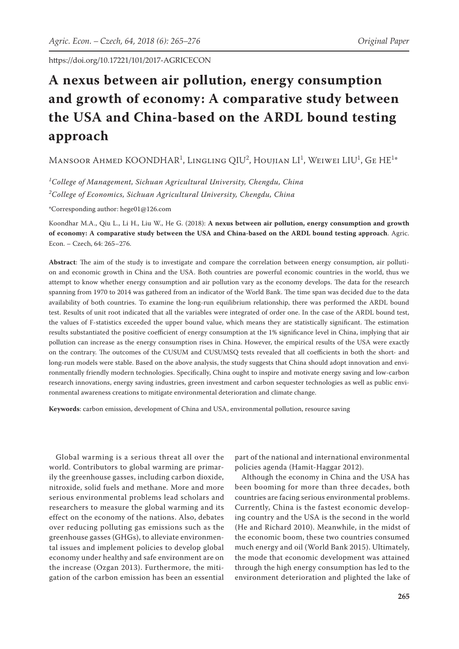# **A nexus between air pollution, energy consumption and growth of economy: A comparative study between the USA and China-based on the ARDL bound testing approach**

Mansoor Ahmed KOONDHAR<sup>1</sup>, Lingling QIU<sup>2</sup>, Houjian LI<sup>1</sup>, Weiwei LIU<sup>1</sup>, Ge HE<sup>1\*</sup>

*1 College of Management, Sichuan Agricultural University, Chengdu, China 2 College of Economics, Sichuan Agricultural University, Chengdu, China*

\*Corresponding author: hege01@126.com

Koondhar M.A., Qiu L., Li H., Liu W., He G. (2018): **A nexus between air pollution, energy consumption and growth of economy: A comparative study between the USA and China-based on the ARDL bound testing approach**. Agric. Econ. – Czech, 64: 265–276.

**Abstract**: The aim of the study is to investigate and compare the correlation between energy consumption, air pollution and economic growth in China and the USA. Both countries are powerful economic countries in the world, thus we attempt to know whether energy consumption and air pollution vary as the economy develops. The data for the research spanning from 1970 to 2014 was gathered from an indicator of the World Bank. The time span was decided due to the data availability of both countries. To examine the long-run equilibrium relationship, there was performed the ARDL bound test. Results of unit root indicated that all the variables were integrated of order one. In the case of the ARDL bound test, the values of F-statistics exceeded the upper bound value, which means they are statistically significant. The estimation results substantiated the positive coefficient of energy consumption at the 1% significance level in China, implying that air pollution can increase as the energy consumption rises in China. However, the empirical results of the USA were exactly on the contrary. The outcomes of the CUSUM and CUSUMSQ tests revealed that all coefficients in both the short- and long-run models were stable. Based on the above analysis, the study suggests that China should adopt innovation and environmentally friendly modern technologies. Specifically, China ought to inspire and motivate energy saving and low-carbon research innovations, energy saving industries, green investment and carbon sequester technologies as well as public environmental awareness creations to mitigate environmental deterioration and climate change.

**Keywords**: carbon emission, development of China and USA, environmental pollution, resource saving

Global warming is a serious threat all over the world. Contributors to global warming are primarily the greenhouse gasses, including carbon dioxide, nitroxide, solid fuels and methane. More and more serious environmental problems lead scholars and researchers to measure the global warming and its effect on the economy of the nations. Also, debates over reducing polluting gas emissions such as the greenhouse gasses (GHGs), to alleviate environmental issues and implement policies to develop global economy under healthy and safe environment are on the increase (Ozgan 2013). Furthermore, the mitigation of the carbon emission has been an essential

part of the national and international environmental policies agenda (Hamit-Haggar 2012).

Although the economy in China and the USA has been booming for more than three decades, both countries are facing serious environmental problems. Currently, China is the fastest economic developing country and the USA is the second in the world (He and Richard 2010). Meanwhile, in the midst of the economic boom, these two countries consumed much energy and oil (World Bank 2015). Ultimately, the mode that economic development was attained through the high energy consumption has led to the environment deterioration and plighted the lake of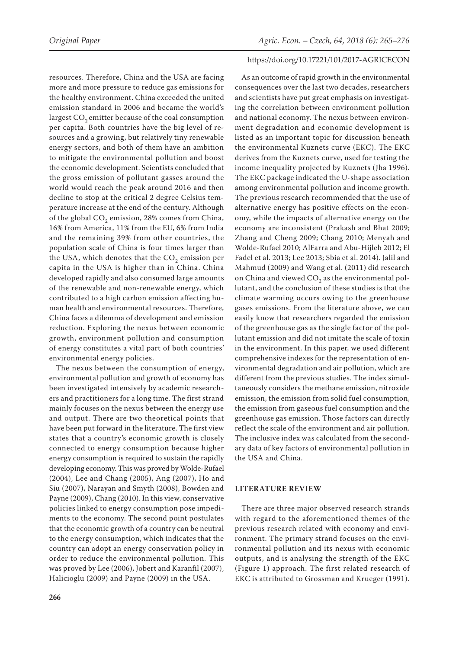resources. Therefore, China and the USA are facing more and more pressure to reduce gas emissions for the healthy environment. China exceeded the united emission standard in 2006 and became the world's

largest  $CO<sub>2</sub>$  emitter because of the coal consumption per capita. Both countries have the big level of resources and a growing, but relatively tiny renewable energy sectors, and both of them have an ambition to mitigate the environmental pollution and boost the economic development. Scientists concluded that the gross emission of pollutant gasses around the world would reach the peak around 2016 and then decline to stop at the critical 2 degree Celsius temperature increase at the end of the century. Although of the global CO<sub>2</sub> emission, 28% comes from China, 16% from America, 11% from the EU, 6% from India and the remaining 39% from other countries, the population scale of China is four times larger than the USA, which denotes that the  $CO<sub>2</sub>$  emission per capita in the USA is higher than in China. China developed rapidly and also consumed large amounts of the renewable and non-renewable energy, which contributed to a high carbon emission affecting human health and environmental resources. Therefore, China faces a dilemma of development and emission reduction. Exploring the nexus between economic growth, environment pollution and consumption of energy constitutes a vital part of both countries' environmental energy policies.

The nexus between the consumption of energy, environmental pollution and growth of economy has been investigated intensively by academic researchers and practitioners for a long time. The first strand mainly focuses on the nexus between the energy use and output. There are two theoretical points that have been put forward in the literature. The first view states that a country's economic growth is closely connected to energy consumption because higher energy consumption is required to sustain the rapidly developing economy. This was proved by Wolde-Rufael (2004), Lee and Chang (2005), Ang (2007), Ho and Siu (2007), Narayan and Smyth (2008), Bowden and Payne (2009), Chang (2010). In this view, conservative policies linked to energy consumption pose impediments to the economy. The second point postulates that the economic growth of a country can be neutral to the energy consumption, which indicates that the country can adopt an energy conservation policy in order to reduce the environmental pollution. This was proved by Lee (2006), Jobert and Karanfil (2007), Halicioglu (2009) and Payne (2009) in the USA.

### https://doi.org/10.17221/101/2017-AGRICECON

As an outcome of rapid growth in the environmental consequences over the last two decades, researchers and scientists have put great emphasis on investigating the correlation between environment pollution and national economy. The nexus between environment degradation and economic development is listed as an important topic for discussion beneath the environmental Kuznets curve (EKC). The EKC derives from the Kuznets curve, used for testing the income inequality projected by Kuznets (Jha 1996). The EKC package indicated the U-shape association among environmental pollution and income growth. The previous research recommended that the use of alternative energy has positive effects on the economy, while the impacts of alternative energy on the economy are inconsistent (Prakash and Bhat 2009; Zhang and Cheng 2009; Chang 2010; Menyah and Wolde-Rufael 2010; AlFarra and Abu-Hijleh 2012; El Fadel et al. 2013; Lee 2013; Sbia et al. 2014). Jalil and Mahmud (2009) and Wang et al. (2011) did research on China and viewed  $CO<sub>2</sub>$  as the environmental pollutant, and the conclusion of these studies is that the climate warming occurs owing to the greenhouse gases emissions. From the literature above, we can easily know that researchers regarded the emission of the greenhouse gas as the single factor of the pollutant emission and did not imitate the scale of toxin in the environment. In this paper, we used different comprehensive indexes for the representation of environmental degradation and air pollution, which are different from the previous studies. The index simultaneously considers the methane emission, nitroxide emission, the emission from solid fuel consumption, the emission from gaseous fuel consumption and the greenhouse gas emission. Those factors can directly reflect the scale of the environment and air pollution. The inclusive index was calculated from the secondary data of key factors of environmental pollution in the USA and China.

## **LITERATURE REVIEW**

There are three major observed research strands with regard to the aforementioned themes of the previous research related with economy and environment. The primary strand focuses on the environmental pollution and its nexus with economic outputs, and is analysing the strength of the EKC (Figure 1) approach. The first related research of EKC is attributed to Grossman and Krueger (1991).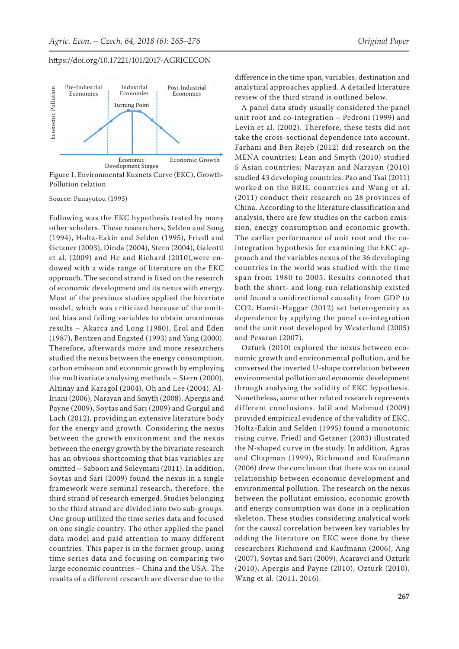

Figure 1. Environmental Kuznets Curve (EKC), Growth-Pollution relation

Source: Panayotou (1993)

Following was the EKC hypothesis tested by many other scholars. These researchers, Selden and Song (1994), Holtz-Eakin and Selden (1995), Friedl and Getzner (2003), Dinda (2004), Stern (2004), Galeotti et al. (2009) and He and Richard (2010),were endowed with a wide range of literature on the EKC approach. The second strand is fixed on the research of economic development and its nexus with energy. Most of the previous studies applied the bivariate model, which was criticized because of the omitted bias and failing variables to obtain unanimous results – Akarca and Long (1980), Erol and Eden (1987), Bentzen and Engsted (1993) and Yang (2000). Therefore, afterwards more and more researchers studied the nexus between the energy consumption, carbon emission and economic growth by employing the multivariate analysing methods – Stern (2000), Altinay and Karagol (2004), Oh and Lee (2004), Al-Iriani (2006), Narayan and Smyth (2008), Apergis and Payne (2009), Soytas and Sari (2009) and Gurgul and Lach (2012), providing an extensive literature body for the energy and growth. Considering the nexus between the growth environment and the nexus between the energy growth by the bivariate research has an obvious shortcoming that bias variables are omitted – Saboori and Soleymani (2011). In addition, Soytas and Sari (2009) found the nexus in a single framework were seminal research, therefore, the third strand of research emerged. Studies belonging to the third strand are divided into two sub-groups. One group utilized the time series data and focused on one single country. The other applied the panel data model and paid attention to many different countries. This paper is in the former group, using time series data and focusing on comparing two large economic countries – China and the USA. The results of a different research are diverse due to the difference in the time span, variables, destination and analytical approaches applied. A detailed literature review of the third strand is outlined below.

A panel data study usually considered the panel unit root and co-integration – Pedroni (1999) and Levin et al. (2002). Therefore, these tests did not take the cross-sectional dependence into account. Farhani and Ben Rejeb (2012) did research on the MENA countries; Lean and Smyth (2010) studied 5 Asian countries; Narayan and Narayan (2010) studied 43 developing countries. Pao and Tsai (2011) worked on the BRIC countries and Wang et al. (2011) conduct their research on 28 provinces of China. According to the literature classification and analysis, there are few studies on the carbon emission, energy consumption and economic growth. The earlier performance of unit root and the cointegration hypothesis for examining the EKC approach and the variables nexus of the 36 developing countries in the world was studied with the time span from 1980 to 2005. Results connoted that both the short- and long-run relationship existed and found a unidirectional causality from GDP to CO2. Hamit-Haggar (2012) set heterogeneity as dependence by applying the panel co-integration and the unit root developed by Westerlund (2005) and Pesaran (2007).

Ozturk (2010) explored the nexus between economic growth and environmental pollution, and he conversed the inverted U-shape correlation between environmental pollution and economic development through analysing the validity of EKC hypothesis. Nonetheless, some other related research represents different conclusions. Jalil and Mahmud (2009) provided empirical evidence of the validity of EKC. Holtz-Eakin and Selden (1995) found a monotonic rising curve. Friedl and Getzner (2003) illustrated the N-shaped curve in the study. In addition, Agras and Chapman (1999), Richmond and Kaufmann (2006) drew the conclusion that there was no causal relationship between economic development and environmental pollution. The research on the nexus between the pollutant emission, economic growth and energy consumption was done in a replication skeleton. These studies considering analytical work for the causal correlation between key variables by adding the literature on EKC were done by these researchers Richmond and Kaufmann (2006), Ang (2007), Soytas and Sari (2009), Acaravci and Ozturk (2010), Apergis and Payne (2010), Ozturk (2010), Wang et al. (2011, 2016).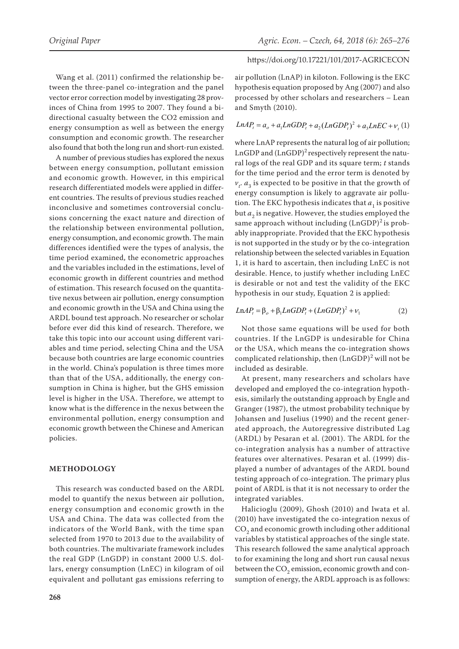# Wang et al. (2011) confirmed the relationship between the three-panel co-integration and the panel vector error correction model by investigating 28 provinces of China from 1995 to 2007. They found a bidirectional casualty between the CO2 emission and energy consumption as well as between the energy consumption and economic growth. The researcher also found that both the long run and short-run existed.

A number of previous studies has explored the nexus between energy consumption, pollutant emission and economic growth. However, in this empirical research differentiated models were applied in different countries. The results of previous studies reached inconclusive and sometimes controversial conclusions concerning the exact nature and direction of the relationship between environmental pollution, energy consumption, and economic growth. The main differences identified were the types of analysis, the time period examined, the econometric approaches and the variables included in the estimations, level of economic growth in different countries and method of estimation. This research focused on the quantitative nexus between air pollution, energy consumption and economic growth in the USA and China using the ARDL bound test approach. No researcher or scholar before ever did this kind of research. Therefore, we take this topic into our account using different variables and time period, selecting China and the USA because both countries are large economic countries in the world. China's population is three times more than that of the USA, additionally, the energy consumption in China is higher, but the GHS emission level is higher in the USA. Therefore, we attempt to know what is the difference in the nexus between the environmental pollution, energy consumption and economic growth between the Chinese and American policies.

## **METHODOLOGY**

This research was conducted based on the ARDL model to quantify the nexus between air pollution, energy consumption and economic growth in the USA and China. The data was collected from the indicators of the World Bank, with the time span selected from 1970 to 2013 due to the availability of both countries. The multivariate framework includes the real GDP (LnGDP) in constant 2000 U.S. dollars, energy consumption (LnEC) in kilogram of oil equivalent and pollutant gas emissions referring to

# https://doi.org/10.17221/101/2017-AGRICECON

air pollution (LnAP) in kiloton. Following is the EKC hypothesis equation proposed by Ang (2007) and also processed by other scholars and researchers – Lean and Smyth (2010).

# $LnAP_t = a_o + a_1LnGDP_t + a_2(LnGDP_t)^2 + a_3LnEC + v_t(1)$

where LnAP represents the natural log of air pollution; LnGDP and  $(LnGDP)^2$  respectively represent the natural logs of the real GDP and its square term; *t* stands for the time period and the error term is denoted by  $v_t$ ,  $a_3$  is expected to be positive in that the growth of energy consumption is likely to aggravate air pollution. The EKC hypothesis indicates that  $a_1$  is positive but  $a_2$  is negative. However, the studies employed the same approach without including  $(LnGDP)^2$  is probably inappropriate. Provided that the EKC hypothesis is not supported in the study or by the co-integration relationship between the selected variables in Equation 1, it is hard to ascertain, then including LnEC is not desirable. Hence, to justify whether including LnEC is desirable or not and test the validity of the EKC hypothesis in our study, Equation 2 is applied:

$$
LnAPt = \betao + \beta1LnGDPt + (LnGDPt)2 + v1
$$
 (2)

Not those same equations will be used for both countries. If the LnGDP is undesirable for China or the USA, which means the co-integration shows complicated relationship, then  $(LnGDP)^2$  will not be included as desirable.

At present, many researchers and scholars have developed and employed the co-integration hypothesis, similarly the outstanding approach by Engle and Granger (1987), the utmost probability technique by Johansen and Juselius (1990) and the recent generated approach, the Autoregressive distributed Lag (ARDL) by Pesaran et al. (2001). The ARDL for the co-integration analysis has a number of attractive features over alternatives. Pesaran et al. (1999) displayed a number of advantages of the ARDL bound testing approach of co-integration. The primary plus point of ARDL is that it is not necessary to order the integrated variables.

Halicioglu (2009), Ghosh (2010) and Iwata et al. (2010) have investigated the co-integration nexus of CO<sub>2</sub> and economic growth including other additional variables by statistical approaches of the single state. This research followed the same analytical approach to for examining the long and short run causal nexus between the CO<sub>2</sub> emission, economic growth and consumption of energy, the ARDL approach is as follows: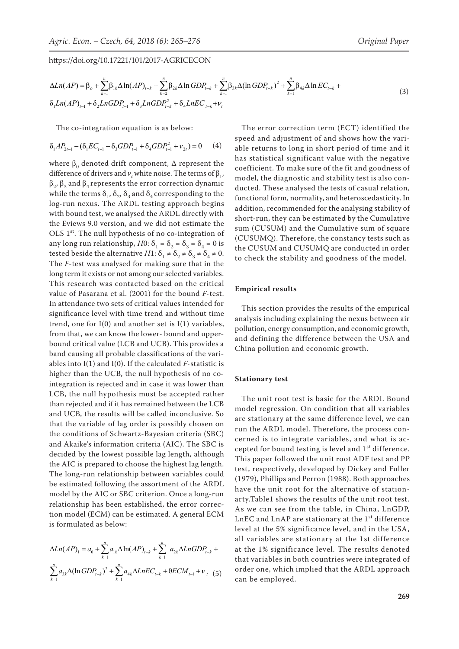$$
\Delta Ln(AP) = \beta_o + \sum_{k=1}^{n} \beta_{1k} \Delta \ln(AP)_{t-k} + \sum_{k=2}^{n} \beta_{2k} \Delta \ln GDP_{t-k} + \sum_{k=1}^{n} \beta_{3k} \Delta (\ln GDP_{t-k})^2 + \sum_{k=1}^{n} \beta_{4k} \Delta \ln EC_{t-k} + \delta_1 Ln(BDP_{t-1}) + \delta_2 LnGDP_{t-1} + \delta_3 LnGDP_{t-k} + \delta_4 LnEC_{t-k} + \nu_t
$$
\n(3)

The co-integration equation is as below:

$$
\delta_1 AP_{2t-1} - (\delta_1 EC_{t-1} + \delta_3 GDP_{t-1} + \delta_4 GDP_{t-1}^2 + \nu_{2t}) = 0 \tag{4}
$$

where  $β_0$  denoted drift component,  $Δ$  represent the difference of drivers and  $v_t$  white noise. The terms of  $\beta_1$ ,  $β_2$ ,  $β_3$  and  $β_4$  represents the error correction dynamic while the terms  $\delta_1$ ,  $\delta_2$ ,  $\delta_3$  and  $\delta_4$  corresponding to the log-run nexus. The ARDL testing approach begins with bound test, we analysed the ARDL directly with the Eviews 9.0 version, and we did not estimate the OLS  $1<sup>st</sup>$ . The null hypothesis of no co-integration of any long run relationship, *H*0:  $\delta_1 = \delta_2 = \delta_3 = \delta_4 = 0$  is tested beside the alternative *H*1:  $\delta_1 \neq \delta_2 \neq \delta_3 \neq \delta_4 \neq 0$ . The *F*-test was analysed for making sure that in the long term it exists or not among our selected variables. This research was contacted based on the critical value of Pasarana et al. (2001) for the bound *F*-test. In attendance two sets of critical values intended for significance level with time trend and without time trend, one for  $I(0)$  and another set is  $I(1)$  variables, from that, we can know the lower- bound and upperbound critical value (LCB and UCB). This provides a band causing all probable classifications of the variables into I(1) and I(0). If the calculated *F*-statistic is higher than the UCB, the null hypothesis of no cointegration is rejected and in case it was lower than LCB, the null hypothesis must be accepted rather than rejected and if it has remained between the LCB and UCB, the results will be called inconclusive. So that the variable of lag order is possibly chosen on the conditions of Schwartz-Bayesian criteria (SBC) and Akaike's information criteria (AIC). The SBC is decided by the lowest possible lag length, although the AIC is prepared to choose the highest lag length. The long-run relationship between variables could be estimated following the assortment of the ARDL model by the AIC or SBC criterion. Once a long-run relationship has been established, the error correction model (ECM) can be estimated. A general ECM is formulated as below:

$$
\Delta Ln(AP)_1 = a_0 + \sum_{k=1}^{n} a_{1k} \Delta \ln(AP)_{t-k} + \sum_{k=1}^{n} a_{2k} \Delta LnGDP_{t-k} + \sum_{k=1}^{n} a_{3k} \Delta (ln GDP_{t-k})^2 + \sum_{k=1}^{n} a_{4k} \Delta LnEC_{t-k} + \theta ECM_{t-1} + \nu_t \quad (5)
$$

The error correction term (ECT) identified the speed and adjustment of and shows how the variable returns to long in short period of time and it has statistical significant value with the negative coefficient. To make sure of the fit and goodness of model, the diagnostic and stability test is also conducted. These analysed the tests of casual relation, functional form, normality, and heteroscedasticity. In addition, recommended for the analysing stability of short-run, they can be estimated by the Cumulative sum (CUSUM) and the Cumulative sum of square (CUSUMQ). Therefore, the constancy tests such as the CUSUM and CUSUMQ are conducted in order to check the stability and goodness of the model.

#### **Empirical results**

This section provides the results of the empirical analysis including explaining the nexus between air pollution, energy consumption, and economic growth, and defining the difference between the USA and China pollution and economic growth.

#### **Stationary test**

The unit root test is basic for the ARDL Bound model regression. On condition that all variables are stationary at the same difference level, we can run the ARDL model. Therefore, the process concerned is to integrate variables, and what is accepted for bound testing is level and 1<sup>st</sup> difference. This paper followed the unit root ADF test and PP test, respectively, developed by Dickey and Fuller (1979), Phillips and Perron (1988). Both approaches have the unit root for the alternative of stationarty.Table1 shows the results of the unit root test. As we can see from the table, in China, LnGDP, LnEC and LnAP are stationary at the 1<sup>st</sup> difference level at the 5% significance level, and in the USA, all variables are stationary at the 1st difference at the 1% significance level. The results denoted that variables in both countries were integrated of order one, which implied that the ARDL approach can be employed.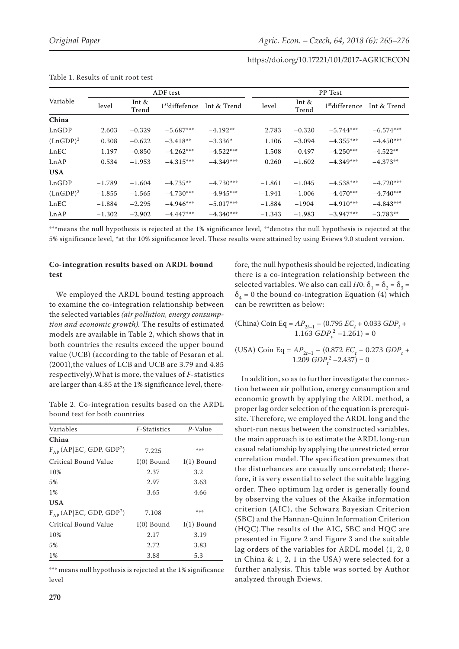| Variable    | ADF test |                  |                            |             | PP Test  |                  |                            |             |  |
|-------------|----------|------------------|----------------------------|-------------|----------|------------------|----------------------------|-------------|--|
|             | level    | Int $&$<br>Trend | 1 <sup>st</sup> diffefence | Int & Trend | level    | Int $&$<br>Trend | 1 <sup>st</sup> difference | Int & Trend |  |
| China       |          |                  |                            |             |          |                  |                            |             |  |
| LnGDP       | 2.603    | $-0.329$         | $-5.687***$                | $-4.192**$  | 2.783    | $-0.320$         | $-5.744***$                | $-6.574***$ |  |
| $(LnGDP)^2$ | 0.308    | $-0.622$         | $-3.418**$                 | $-3.336*$   | 1.106    | $-3.094$         | $-4.355***$                | $-4.450***$ |  |
| LnEC        | 1.197    | $-0.850$         | $-4.262***$                | $-4.522***$ | 1.508    | $-0.497$         | $-4.250***$                | $-4.522**$  |  |
| LnAP        | 0.534    | $-1.953$         | $-4.315***$                | $-4.349***$ | 0.260    | $-1.602$         | $-4.349***$                | $-4.373**$  |  |
| <b>USA</b>  |          |                  |                            |             |          |                  |                            |             |  |
| LnGDP       | $-1.789$ | $-1.604$         | $-4.735**$                 | $-4.730***$ | $-1.861$ | $-1.045$         | $-4.538***$                | $-4.720***$ |  |
| $(LnGDP)^2$ | $-1.855$ | $-1.565$         | $-4.730***$                | $-4.945***$ | $-1.941$ | $-1.006$         | $-4.470***$                | $-4.740***$ |  |
| LnEC        | $-1.884$ | $-2.295$         | $-4.946***$                | $-5.017***$ | $-1.884$ | $-1904$          | $-4.910***$                | $-4.843***$ |  |
| LnAP        | $-1.302$ | $-2.902$         | $-4.447***$                | $-4.340***$ | $-1.343$ | $-1.983$         | $-3.947***$                | $-3.783**$  |  |

| Table 1. Results of unit root test |  |  |  |  |
|------------------------------------|--|--|--|--|
|                                    |  |  |  |  |

\*\*\*means the null hypothesis is rejected at the 1% significance level, \*\*denotes the null hypothesis is rejected at the 5% significance level, \*at the 10% significance level. These results were attained by using Eviews 9.0 student version.

# **Co-integration results based on ARDL bound test**

We employed the ARDL bound testing approach to examine the co-integration relationship between the selected variables *(air pollution, energy consumption and economic growth).* The results of estimated models are available in Table 2, which shows that in both countries the results exceed the upper bound value (UCB) (according to the table of Pesaran et al. (2001),the values of LCB and UCB are 3.79 and 4.85 respectively).What is more, the values of *F*-statistics are larger than 4.85 at the 1% significance level, there-

Table 2. Co-integration results based on the ARDL bound test for both countries

| Variables                                | <i>F</i> -Statistics | P-Value      |
|------------------------------------------|----------------------|--------------|
| China                                    |                      |              |
| $F_{AP}$ (AP EC, GDP, GDP <sup>2</sup> ) | 7.225                | 染染染          |
| Critical Bound Value                     | $I(0)$ Bound         | $I(1)$ Bound |
| 10%                                      | 2.37                 | 3.2          |
| 5%                                       | 2.97                 | 3.63         |
| 1%                                       | 3.65                 | 4.66         |
| <b>USA</b>                               |                      |              |
| $F_{AP}$ (AP EC, GDP, GDP <sup>2</sup> ) | 7.108                | 染染染          |
| Critical Bound Value                     | $I(0)$ Bound         | $I(1)$ Bound |
| 10%                                      | 2.17                 | 3.19         |
| 5%                                       | 2.72                 | 3.83         |
| 1%                                       | 3.88                 | 5.3          |

\*\*\* means null hypothesis is rejected at the 1% significance level

fore, the null hypothesis should be rejected, indicating there is a co-integration relationship between the selected variables. We also can call *H*0:  $\delta_1 = \delta_2 = \delta_3 =$  $\delta_4$  = 0 the bound co-integration Equation (4) which can be rewritten as below:

(China) Coin Eq =  $AP_{2t-1}$  – (0.795  $EC_t$  + 0.033  $GDP_t$  +  $1.163$   $GDP_t^2 - 1.261$ ) = 0

(USA) Coin Eq =  $AP_{2t-1}$  – (0.872  $EC_t$  + 0.273  $GDP_t$  +  $1.209$   $GDP_t^2 - 2.437) = 0$ 

In addition, so as to further investigate the connection between air pollution, energy consumption and economic growth by applying the ARDL method, a proper lag order selection of the equation is prerequisite. Therefore, we employed the ARDL long and the short-run nexus between the constructed variables, the main approach is to estimate the ARDL long-run casual relationship by applying the unrestricted error correlation model. The specification presumes that the disturbances are casually uncorrelated; therefore, it is very essential to select the suitable lagging order. Theo optimum lag order is generally found by observing the values of the Akaike information criterion (AIC), the Schwarz Bayesian Criterion (SBC) and the Hannan-Quinn Information Criterion (HQC).The results of the AIC, SBC and HQC are presented in Figure 2 and Figure 3 and the suitable lag orders of the variables for ARDL model (1, 2, 0 in China & 1, 2, 1 in the USA) were selected for a further analysis. This table was sorted by Author analyzed through Eviews.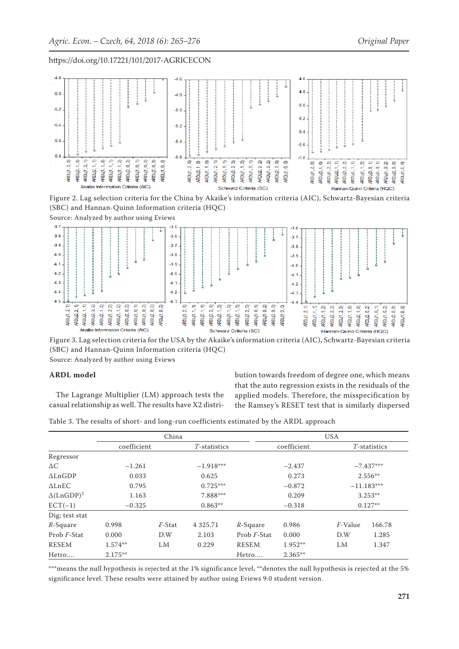

Figure 2. Lag selection criteria for the China by Akaike's information criteria (AIC), Schwartz-Bayesian criteria (SBC) and Hannan-Quinn Information criteria (HQC)

Source: Analyzed by author using Eviews

![](_page_6_Figure_6.jpeg)

Figure 3. Lag selection criteria for the USA by the Akaike's information criteria (AIC), Schwartz-Bayesian criteria (SBC) and Hannan-Quinn Information criteria (HQC) Source: Analyzed by author using Eviews

#### **ARDL model**

The Lagrange Multiplier (LM) approach tests the casual relationship as well. The results have X2 distribution towards freedom of degree one, which means that the auto regression exists in the residuals of the applied models. Therefore, the misspecification by the Ramsey's RESET test that is similarly dispersed

Table 3. The results of short- and long-run coefficients estimated by the ARDL approach

|                               |             |           |                 | <b>USA</b>          |             |           |              |  |
|-------------------------------|-------------|-----------|-----------------|---------------------|-------------|-----------|--------------|--|
|                               | coefficient |           | $T$ -statistics |                     | coefficient |           | T-statistics |  |
| Regressor                     |             |           |                 |                     |             |           |              |  |
| $\Delta C$                    | $-1.261$    |           | $-1.918***$     |                     | $-2.437$    |           | $-7.437***$  |  |
| $\Delta$ LnGDP                | 0.033       |           | 0.625           |                     | 0.273       | $2.556**$ |              |  |
| $\Delta$ LnEC                 | 0.795       |           | $0.725***$      |                     | $-0.872$    |           | $-11.183***$ |  |
| $\Delta$ (LnGDP) <sup>2</sup> | 1.163       |           | 7.888***        |                     | 0.209       |           | $3.253**$    |  |
| $ECT(-1)$                     | $-0.325$    |           | $0.863**$       |                     | $-0.318$    | $0.127**$ |              |  |
| Dig; test stat                |             |           |                 |                     |             |           |              |  |
| $R$ -Square                   | 0.998       | $F$ -Stat | 4 3 2 5 . 7 1   | $R-Square$          | 0.986       | F-Value   | 166.78       |  |
| Prob <i>F</i> -Stat           | 0.000       | D.W       | 2.103           | Prob <i>F</i> -Stat | 0.000       | D.W       | 1.285        |  |
| <b>RESEM</b>                  | $1.574**$   | LM        | 0.229           | <b>RESEM</b>        | $1.952**$   | LM        | 1.347        |  |
| Hetro                         | $2.175**$   |           |                 | Hetro               | $2.365**$   |           |              |  |

\*\*\*means the null hypothesis is rejected at the 1% significance level, \*\*denotes the null hypothesis is rejected at the 5% significance level. These results were attained by author using Eviews 9.0 student version.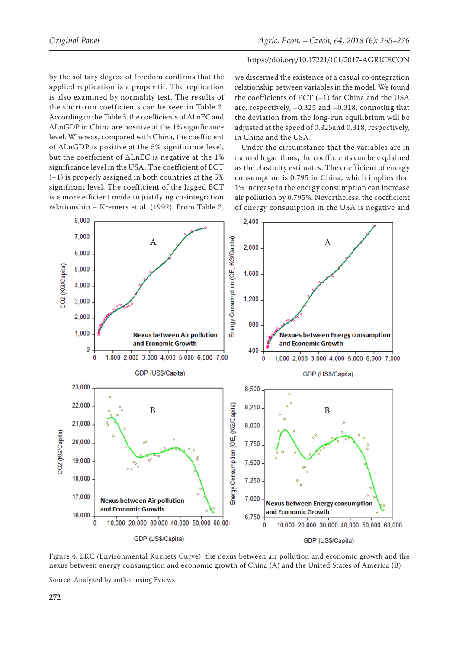by the solitary degree of freedom confirms that the applied replication is a proper fit. The replication is also examined by normality test. The results of the short-run coefficients can be seen in Table 3. According to the Table 3, the coefficients of ΔLnEC and ΔLnGDP in China are positive at the 1% significance level. Whereas, compared with China, the coefficient of ΔLnGDP is positive at the 5% significance level, but the coefficient of ΔLnEC is negative at the 1% significance level in the USA. The coefficient of ECT (–1) is properly assigned in both countries at the 5% significant level. The coefficient of the lagged ECT is a more efficient mode to justifying co-integration relationship – Kremers et al. (1992). From Table 3,

we discerned the existence of a casual co-integration relationship between variables in the model. We found the coefficients of ECT  $(-1)$  for China and the USA are, respectively, –0.325 and –0.318, connoting that the deviation from the long-run equilibrium will be adjusted at the speed of 0.325and 0.318, respectively, in China and the USA.

Under the circumstance that the variables are in natural logarithms, the coefficients can be explained as the elasticity estimates. The coefficient of energy consumption is 0.795 in China, which implies that 1% increase in the energy consumption can increase air pollution by 0.795%. Nevertheless, the coefficient of energy consumption in the USA is negative and

![](_page_7_Figure_6.jpeg)

Figure 4. EKC (Environmental Kuznets Curve), the nexus between air pollution and economic growth and the nexus between energy consumption and economic growth of China (A) and the United States of America (B)

Source: Analyzed by author using Eviews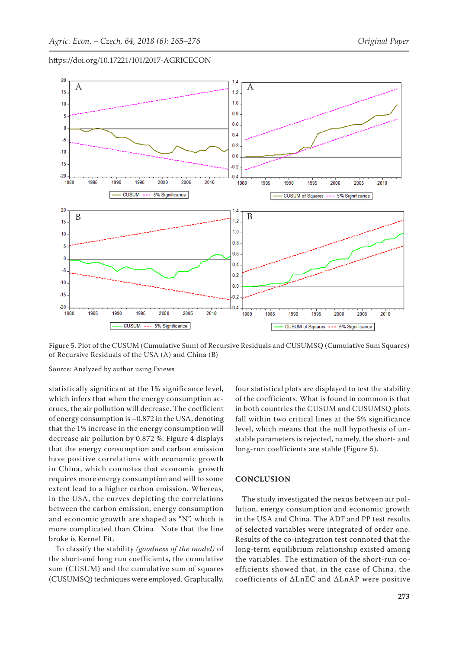![](_page_8_Figure_3.jpeg)

Figure 5. Plot of the CUSUM (Cumulative Sum) of Recursive Residuals and CUSUMSQ (Cumulative Sum Squares) of Recursive Residuals of the USA (A) and China (B)

Source: Analyzed by author using Eviews

statistically significant at the 1% significance level, which infers that when the energy consumption accrues, the air pollution will decrease. The coefficient of energy consumption is –0.872 in the USA, denoting that the 1% increase in the energy consumption will decrease air pollution by 0.872 %. Figure 4 displays that the energy consumption and carbon emission have positive correlations with economic growth in China, which connotes that economic growth requires more energy consumption and will to some extent lead to a higher carbon emission. Whereas, in the USA, the curves depicting the correlations between the carbon emission, energy consumption and economic growth are shaped as "N", which is more complicated than China. Note that the line broke is Kernel Fit.

To classify the stability *(goodness of the model)* of the short-and long run coefficients, the cumulative sum (CUSUM) and the cumulative sum of squares (CUSUMSQ) techniques were employed. Graphically, four statistical plots are displayed to test the stability of the coefficients. What is found in common is that in both countries the CUSUM and CUSUMSQ plots fall within two critical lines at the 5% significance level, which means that the null hypothesis of unstable parameters is rejected, namely, the short- and long-run coefficients are stable (Figure 5).

## **CONCLUSION**

The study investigated the nexus between air pollution, energy consumption and economic growth in the USA and China. The ADF and PP test results of selected variables were integrated of order one. Results of the co-integration test connoted that the long-term equilibrium relationship existed among the variables. The estimation of the short-run coefficients showed that, in the case of China, the coefficients of ΔLnEC and ΔLnAP were positive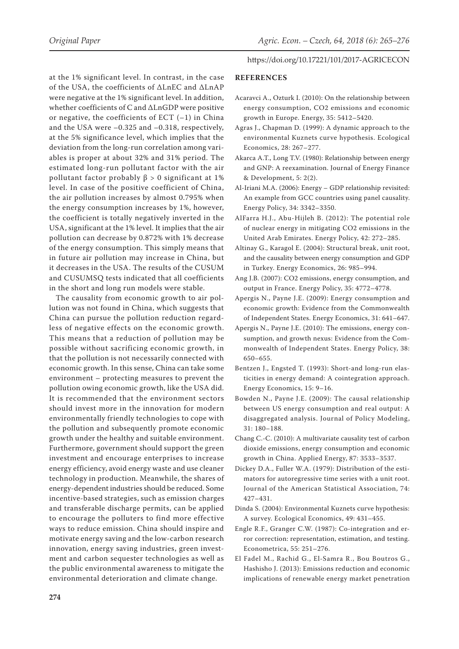at the 1% significant level. In contrast, in the case of the USA, the coefficients of ΔLnEC and ΔLnAP were negative at the 1% significant level. In addition, whether coefficients of C and ΔLnGDP were positive or negative, the coefficients of ECT  $(-1)$  in China and the USA were –0.325 and –0.318, respectively, at the 5% significance level, which implies that the deviation from the long-run correlation among variables is proper at about 32% and 31% period. The estimated long-run pollutant factor with the air pollutant factor probably  $β > 0$  significant at 1% level. In case of the positive coefficient of China, the air pollution increases by almost 0.795% when the energy consumption increases by 1%, however, the coefficient is totally negatively inverted in the USA, significant at the 1% level. It implies that the air pollution can decrease by 0.872% with 1% decrease of the energy consumption. This simply means that in future air pollution may increase in China, but it decreases in the USA. The results of the CUSUM and CUSUMSQ tests indicated that all coefficients in the short and long run models were stable.

The causality from economic growth to air pollution was not found in China, which suggests that China can pursue the pollution reduction regardless of negative effects on the economic growth. This means that a reduction of pollution may be possible without sacrificing economic growth, in that the pollution is not necessarily connected with economic growth. In this sense, China can take some environment – protecting measures to prevent the pollution owing economic growth, like the USA did. It is recommended that the environment sectors should invest more in the innovation for modern environmentally friendly technologies to cope with the pollution and subsequently promote economic growth under the healthy and suitable environment. Furthermore, government should support the green investment and encourage enterprises to increase energy efficiency, avoid energy waste and use cleaner technology in production. Meanwhile, the shares of energy-dependent industries should be reduced. Some incentive-based strategies, such as emission charges and transferable discharge permits, can be applied to encourage the polluters to find more effective ways to reduce emission. China should inspire and motivate energy saving and the low-carbon research innovation, energy saving industries, green investment and carbon sequester technologies as well as the public environmental awareness to mitigate the environmental deterioration and climate change.

#### https://doi.org/10.17221/101/2017-AGRICECON

#### **REFERENCES**

- Acaravci A., Ozturk I. (2010): On the relationship between energy consumption, CO2 emissions and economic growth in Europe. Energy, 35: 5412–5420.
- Agras J., Chapman D. (1999): A dynamic approach to the environmental Kuznets curve hypothesis. Ecological Economics, 28: 267–277.
- Akarca A.T., Long T.V. (1980): Relationship between energy and GNP: A reexamination. Journal of Energy Finance & Development, 5: 2(2).
- Al-Iriani M.A. (2006): Energy GDP relationship revisited: An example from GCC countries using panel causality. Energy Policy, 34: 3342–3350.
- AlFarra H.J., Abu-Hijleh B. (2012): The potential role of nuclear energy in mitigating CO2 emissions in the United Arab Emirates. Energy Policy, 42: 272–285.
- Altinay G., Karagol E. (2004): Structural break, unit root, and the causality between energy consumption and GDP in Turkey. Energy Economics, 26: 985–994.
- Ang J.B. (2007): CO2 emissions, energy consumption, and output in France. Energy Policy, 35: 4772–4778.
- Apergis N., Payne J.E. (2009): Energy consumption and economic growth: Evidence from the Commonwealth of Independent States. Energy Economics, 31: 641–647.
- Apergis N., Payne J.E. (2010): The emissions, energy consumption, and growth nexus: Evidence from the Commonwealth of Independent States. Energy Policy, 38: 650–655.
- Bentzen J., Engsted T. (1993): Short-and long-run elasticities in energy demand: A cointegration approach. Energy Economics, 15: 9–16.
- Bowden N., Payne J.E. (2009): The causal relationship between US energy consumption and real output: A disaggregated analysis. Journal of Policy Modeling, 31: 180–188.
- Chang C.-C. (2010): A multivariate causality test of carbon dioxide emissions, energy consumption and economic growth in China. Applied Energy, 87: 3533–3537.
- Dickey D.A., Fuller W.A. (1979): Distribution of the estimators for autoregressive time series with a unit root. Journal of the American Statistical Association, 74: 427–431.
- Dinda S. (2004): Environmental Kuznets curve hypothesis: A survey. Ecological Economics, 49: 431–455.
- Engle R.F., Granger C.W. (1987): Co-integration and error correction: representation, estimation, and testing. Econometrica, 55: 251–276.
- El Fadel M., Rachid G., El-Samra R., Bou Boutros G., Hashisho J. (2013): Emissions reduction and economic implications of renewable energy market penetration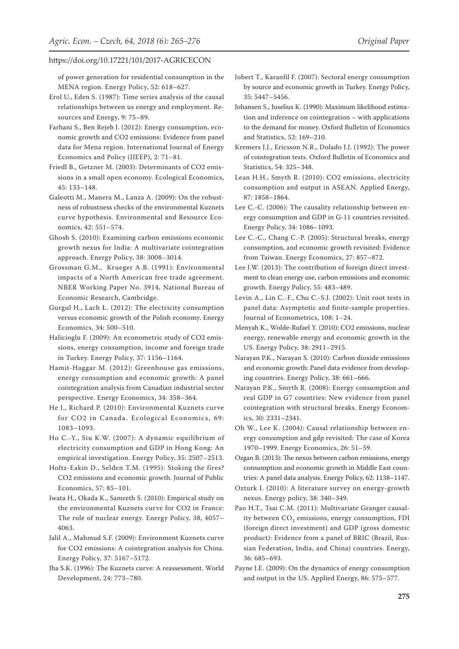of power generation for residential consumption in the MENA region. Energy Policy, 52: 618–627.

- Erol U., Eden S. (1987): Time series analysis of the causal relationships between us energy and employment. Resources and Energy, 9: 75–89.
- Farhani S., Ben Rejeb J. (2012): Energy consumption, economic growth and CO2 emissions: Evidence from panel data for Mena region. International Journal of Energy Economics and Policy (IJEEP), 2: 71–81.
- Friedl B., Getzner M. (2003): Determinants of CO2 emissions in a small open economy. Ecological Economics, 45: 133–148.
- Galeotti M., Manera M., Lanza A. (2009): On the robustness of robustness checks of the environmental Kuznets curve hypothesis. Environmental and Resource Economics, 42: 551–574.
- Ghosh S. (2010): Examining carbon emissions economic growth nexus for India: A multivariate cointegration approach. Energy Policy, 38: 3008–3014.
- Grossman G.M., Krueger A.B. (1991): Environmental impacts of a North American free trade agreement. NBER Working Paper No. 3914, National Bureau of Economic Research, Cambridge.
- Gurgul H., Lach Ł. (2012): The electricity consumption versus economic growth of the Polish economy. Energy Economics, 34: 500–510.
- Halicioglu F. (2009): An econometric study of CO2 emissions, energy consumption, income and foreign trade in Turkey. Energy Policy, 37: 1156–1164.
- Hamit-Haggar M. (2012): Greenhouse gas emissions, energy consumption and economic growth: A panel cointegration analysis from Canadian industrial sector perspective. Energy Economics, 34: 358–364.
- He J., Richard P. (2010): Environmental Kuznets curve for CO2 in Canada. Ecological Economics, 69: 1083–1093.
- Ho C.-Y., Siu K.W. (2007): A dynamic equilibrium of electricity consumption and GDP in Hong Kong: An empirical investigation. Energy Policy, 35: 2507–2513.
- Holtz-Eakin D., Selden T.M. (1995): Stoking the fires? CO2 emissions and economic growth. Journal of Public Economics, 57: 85–101.
- Iwata H., Okada K., Samreth S. (2010): Empirical study on the environmental Kuznets curve for CO2 in France: The role of nuclear energy. Energy Policy, 38, 4057– 4063.
- Jalil A., Mahmud S.F. (2009): Environment Kuznets curve for CO2 emissions: A cointegration analysis for China. Energy Policy, 37: 5167–5172.
- Jha S.K. (1996): The Kuznets curve: A reassessment. World Development, 24: 773–780.
- Jobert T., Karanfil F. (2007): Sectoral energy consumption by source and economic growth in Turkey. Energy Policy, 35: 5447–5456.
- Johansen S., Juselius K. (1990): Maximum likelihood estimation and inference on cointegration – with applications to the demand for money. Oxford Bulletin of Economics and Statistics, 52: 169–210.
- Kremers J.J., Ericsson N.R., Dolado J.J. (1992): The power of cointegration tests. Oxford Bulletin of Economics and Statistics, 54: 325–348.
- Lean H.H., Smyth R. (2010): CO2 emissions, electricity consumption and output in ASEAN. Applied Energy, 87: 1858–1864.
- Lee C.-C. (2006): The causality relationship between energy consumption and GDP in G-11 countries revisited. Energy Policy, 34: 1086–1093.
- Lee C.-C., Chang C.-P. (2005): Structural breaks, energy consumption, and economic growth revisited: Evidence from Taiwan. Energy Economics, 27: 857–872.
- Lee J.W. (2013): The contribution of foreign direct investment to clean energy use, carbon emissions and economic growth. Energy Policy, 55: 483–489.
- Levin A., Lin C.-F., Chu C.-S.J. (2002): Unit root tests in panel data: Asymptotic and finite-sample properties. Journal of Econometrics, 108: 1–24.
- Menyah K., Wolde-Rufael Y. (2010): CO2 emissions, nuclear energy, renewable energy and economic growth in the US. Energy Policy, 38: 2911–2915.
- Narayan P.K., Narayan S. (2010): Carbon dioxide emissions and economic growth: Panel data evidence from developing countries. Energy Policy, 38: 661–666.
- Narayan P.K., Smyth R. (2008): Energy consumption and real GDP in G7 countries: New evidence from panel cointegration with structural breaks. Energy Economics, 30: 2331–2341.
- Oh W., Lee K. (2004): Causal relationship between energy consumption and gdp revisited: The case of Korea 1970–1999. Energy Economics, 26: 51–59.
- Ozgan B. (2013): The nexus between carbon emissions, energy consumption and economic growth in Middle East countries: A panel data analysis. Energy Policy, 62: 1138–1147.
- Ozturk I. (2010): A literature survey on energy-growth nexus. Energy policy, 38: 340–349.
- Pao H.T., Tsai C.M. (2011): Multivariate Granger causality between CO<sub>2</sub> emissions, energy consumption, FDI (foreign direct investment) and GDP (gross domestic product): Evidence from a panel of BRIC (Brazil, Russian Federation, India, and China) countries. Energy, 36: 685–693.
- Payne J.E. (2009): On the dynamics of energy consumption and output in the US. Applied Energy, 86: 575–577.